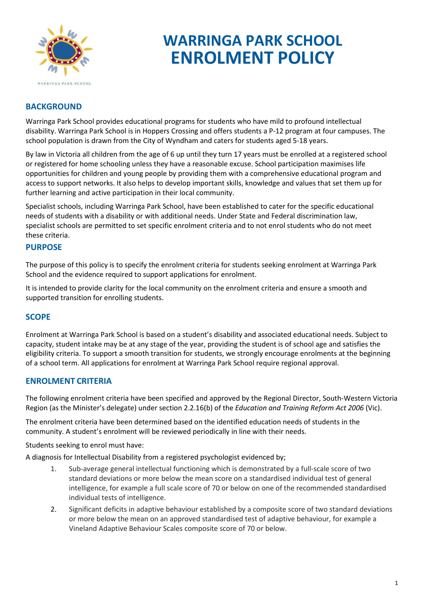

# **WARRINGA PARK SCHOOL ENROLMENT POLICY**

# **BACKGROUND**

Warringa Park School provides educational programs for students who have mild to profound intellectual disability. Warringa Park School is in Hoppers Crossing and offers students a P-12 program at four campuses. The school population is drawn from the City of Wyndham and caters for students aged 5-18 years.

By law in Victoria all children from the age of 6 up until they turn 17 years must be enrolled at a registered school or registered for home schooling unless they have a reasonable excuse. School participation maximises life opportunities for children and young people by providing them with a comprehensive educational program and access to support networks. It also helps to develop important skills, knowledge and values that set them up for further learning and active participation in their local community.

Specialist schools, including Warringa Park School, have been established to cater for the specific educational needs of students with a disability or with additional needs. Under State and Federal discrimination law, specialist schools are permitted to set specific enrolment criteria and to not enrol students who do not meet these criteria.

#### **PURPOSE**

The purpose of this policy is to specify the enrolment criteria for students seeking enrolment at Warringa Park School and the evidence required to support applications for enrolment.

It is intended to provide clarity for the local community on the enrolment criteria and ensure a smooth and supported transition for enrolling students.

# **SCOPE**

Enrolment at Warringa Park School is based on a student's disability and associated educational needs. Subject to capacity, student intake may be at any stage of the year, providing the student is of school age and satisfies the eligibility criteria. To support a smooth transition for students, we strongly encourage enrolments at the beginning of a school term. All applications for enrolment at Warringa Park School require regional approval.

#### **ENROLMENT CRITERIA**

The following enrolment criteria have been specified and approved by the Regional Director, South-Western Victoria Region (as the Minister's delegate) under section 2.2.16(b) of the *Education and Training Reform Act 2006* (Vic).

The enrolment criteria have been determined based on the identified education needs of students in the community. A student's enrolment will be reviewed periodically in line with their needs.

Students seeking to enrol must have:

A diagnosis for Intellectual Disability from a registered psychologist evidenced by;

- 1. Sub-average general intellectual functioning which is demonstrated by a full-scale score of two standard deviations or more below the mean score on a standardised individual test of general intelligence, for example a full scale score of 70 or below on one of the recommended standardised individual tests of intelligence.
- 2. Significant deficits in adaptive behaviour established by a composite score of two standard deviations or more below the mean on an approved standardised test of adaptive behaviour, for example a Vineland Adaptive Behaviour Scales composite score of 70 or below.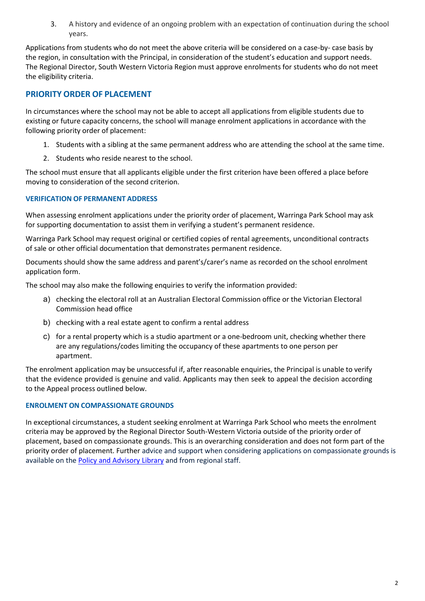3. A history and evidence of an ongoing problem with an expectation of continuation during the school years.

Applications from students who do not meet the above criteria will be considered on a case-by- case basis by the region, in consultation with the Principal, in consideration of the student's education and support needs. The Regional Director, South Western Victoria Region must approve enrolments for students who do not meet the eligibility criteria.

# **PRIORITY ORDER OF PLACEMENT**

In circumstances where the school may not be able to accept all applications from eligible students due to existing or future capacity concerns, the school will manage enrolment applications in accordance with the following priority order of placement:

- 1. Students with a sibling at the same permanent address who are attending the school at the same time.
- 2. Students who reside nearest to the school.

The school must ensure that all applicants eligible under the first criterion have been offered a place before moving to consideration of the second criterion.

#### **VERIFICATION OF PERMANENT ADDRESS**

When assessing enrolment applications under the priority order of placement, Warringa Park School may ask for supporting documentation to assist them in verifying a student's permanent residence.

Warringa Park School may request original or certified copies of rental agreements, unconditional contracts of sale or other official documentation that demonstrates permanent residence.

Documents should show the same address and parent's/carer's name as recorded on the school enrolment application form.

The school may also make the following enquiries to verify the information provided:

- a) checking the electoral roll at an Australian Electoral Commission office or the Victorian Electoral Commission head office
- b) checking with a real estate agent to confirm a rental address
- c) for a rental property which is a studio apartment or a one-bedroom unit, checking whether there are any regulations/codes limiting the occupancy of these apartments to one person per apartment.

The enrolment application may be unsuccessful if, after reasonable enquiries, the Principal is unable to verify that the evidence provided is genuine and valid. Applicants may then seek to appeal the decision according to the Appeal process outlined below.

#### **ENROLMENT ON COMPASSIONATE GROUNDS**

In exceptional circumstances, a student seeking enrolment at Warringa Park School who meets the enrolment criteria may be approved by the Regional Director South-Western Victoria outside of the priority order of placement, based on compassionate grounds. This is an overarching consideration and does not form part of the priority order of placement. Further advice and support when considering applications on compassionate grounds is available on th[e Policy and Advisory Library](https://www2.education.vic.gov.au/pal/enrolment/guidance/placement-policy#exceptional-circumstances-%E2%80%93-compassionate-grounds) and from regional staff.